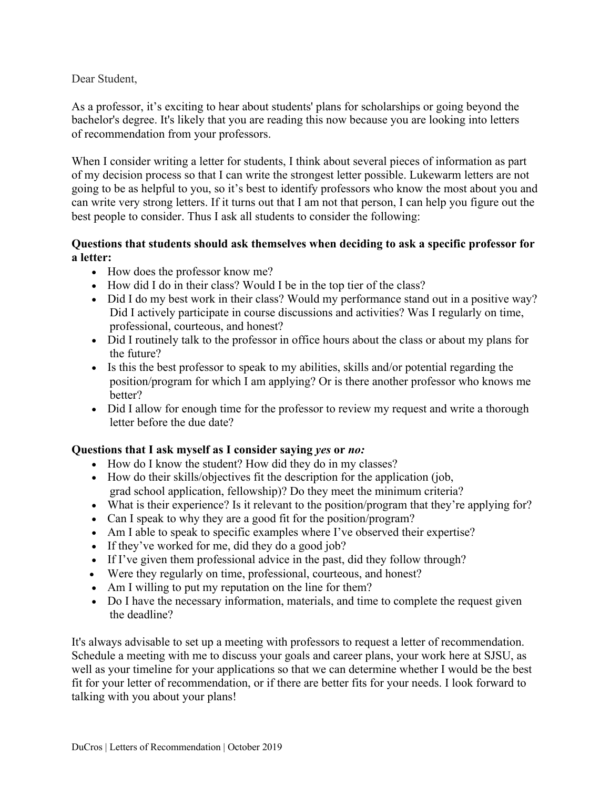Dear Student,

As a professor, it's exciting to hear about students' plans for scholarships or going beyond the bachelor's degree. It's likely that you are reading this now because you are looking into letters of recommendation from your professors.

When I consider writing a letter for students, I think about several pieces of information as part of my decision process so that I can write the strongest letter possible. Lukewarm letters are not going to be as helpful to you, so it's best to identify professors who know the most about you and can write very strong letters. If it turns out that I am not that person, I can help you figure out the best people to consider. Thus I ask all students to consider the following:

## **Questions that students should ask themselves when deciding to ask a specific professor for a letter:**

- How does the professor know me?
- How did I do in their class? Would I be in the top tier of the class?
- Did I do my best work in their class? Would my performance stand out in a positive way? Did I actively participate in course discussions and activities? Was I regularly on time, professional, courteous, and honest?
- Did I routinely talk to the professor in office hours about the class or about my plans for the future?
- Is this the best professor to speak to my abilities, skills and/or potential regarding the position/program for which I am applying? Or is there another professor who knows me better?
- Did I allow for enough time for the professor to review my request and write a thorough letter before the due date?

## **Questions that I ask myself as I consider saying** *yes* **or** *no:*

- How do I know the student? How did they do in my classes?
- How do their skills/objectives fit the description for the application (job, grad school application, fellowship)? Do they meet the minimum criteria?
- What is their experience? Is it relevant to the position/program that they're applying for?
- Can I speak to why they are a good fit for the position/program?
- Am I able to speak to specific examples where I've observed their expertise?
- If they've worked for me, did they do a good job?
- If I've given them professional advice in the past, did they follow through?
- Were they regularly on time, professional, courteous, and honest?
- Am I willing to put my reputation on the line for them?
- Do I have the necessary information, materials, and time to complete the request given the deadline?

It's always advisable to set up a meeting with professors to request a letter of recommendation. Schedule a meeting with me to discuss your goals and career plans, your work here at SJSU, as well as your timeline for your applications so that we can determine whether I would be the best fit for your letter of recommendation, or if there are better fits for your needs. I look forward to talking with you about your plans!